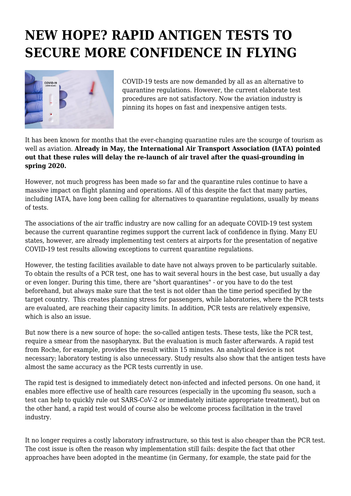## **NEW HOPE? RAPID ANTIGEN TESTS TO SECURE MORE CONFIDENCE IN FLYING**



COVID-19 tests are now demanded by all as an alternative to quarantine regulations. However, the current elaborate test procedures are not satisfactory. Now the aviation industry is pinning its hopes on fast and inexpensive antigen tests.

It has been known for months that the ever-changing quarantine rules are the scourge of tourism as well as aviation. **Already in May, the International Air Transport Association (IATA) pointed out that these rules will delay the re-launch of air travel after the quasi-grounding in spring 2020.**

However, not much progress has been made so far and the quarantine rules continue to have a massive impact on flight planning and operations. All of this despite the fact that many parties, including IATA, have long been calling for alternatives to quarantine regulations, usually by means of tests.

The associations of the air traffic industry are now calling for an adequate COVID-19 test system because the current quarantine regimes support the current lack of confidence in flying. Many EU states, however, are already implementing test centers at airports for the presentation of negative COVID-19 test results allowing exceptions to current quarantine regulations.

However, the testing facilities available to date have not always proven to be particularly suitable. To obtain the results of a PCR test, one has to wait several hours in the best case, but usually a day or even longer. During this time, there are "short quarantines" - or you have to do the test beforehand, but always make sure that the test is not older than the time period specified by the target country. This creates planning stress for passengers, while laboratories, where the PCR tests are evaluated, are reaching their capacity limits. In addition, PCR tests are relatively expensive, which is also an issue.

But now there is a new source of hope: the so-called antigen tests. These tests, like the PCR test, require a smear from the nasopharynx. But the evaluation is much faster afterwards. A rapid test from Roche, for example, provides the result within 15 minutes. An analytical device is not necessary; laboratory testing is also unnecessary. Study results also show that the antigen tests have almost the same accuracy as the PCR tests currently in use.

The rapid test is designed to immediately detect non-infected and infected persons. On one hand, it enables more effective use of health care resources (especially in the upcoming flu season, such a test can help to quickly rule out SARS-CoV-2 or immediately initiate appropriate treatment), but on the other hand, a rapid test would of course also be welcome process facilitation in the travel industry.

It no longer requires a costly laboratory infrastructure, so this test is also cheaper than the PCR test. The cost issue is often the reason why implementation still fails: despite the fact that other approaches have been adopted in the meantime (in Germany, for example, the state paid for the